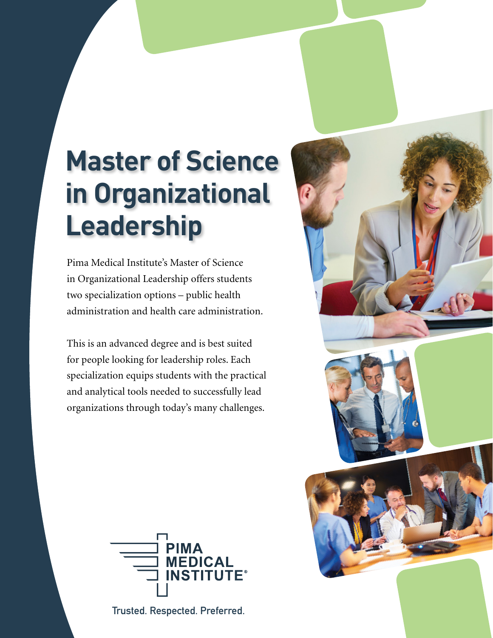# **Master of Science in Organizational Leadership**

Pima Medical Institute's Master of Science in Organizational Leadership offers students two specialization options – public health administration and health care administration.

This is an advanced degree and is best suited for people looking for leadership roles. Each specialization equips students with the practical and analytical tools needed to successfully lead organizations through today's many challenges.



**Trusted. Respected. Preferred.**